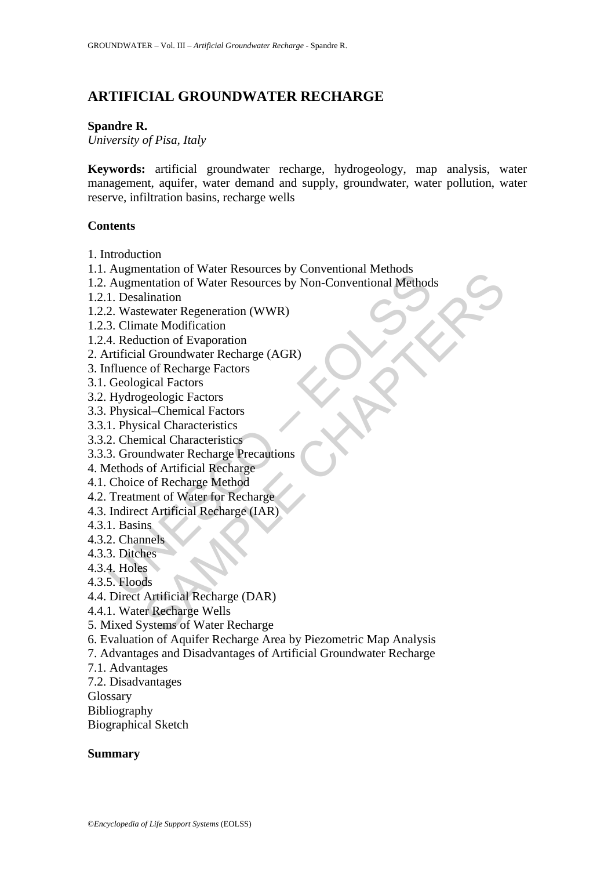# **ARTIFICIAL GROUNDWATER RECHARGE**

#### **Spandre R.**

*University of Pisa, Italy* 

**Keywords:** artificial groundwater recharge, hydrogeology, map analysis, water management, aquifer, water demand and supply, groundwater, water pollution, water reserve, infiltration basins, recharge wells

#### **Contents**

1. Introduction

- 1.1. Augmentation of Water Resources by Conventional Methods
- Tagmontation of Water Resources by Conventional Method<br>
1. Desalination<br>
2. Wastewater Regeneration (WWR)<br>
3. Climate Modification<br>
4. Reduction of Evaporation<br>
4. The Modification<br>
4. The Modification<br>
Trificial Groundwat Francisco of Water Resources by Conventional Methods<br>
entation of Water Resources by Non-Conventional Methods<br>
Ilination<br>
atte Modification<br>
action of Evaporation<br>
action of Evaporation<br>
action of Evaporation<br>
ecle of Rech 1.2. Augmentation of Water Resources by Non-Conventional Methods
- 1.2.1. Desalination
- 1.2.2. Wastewater Regeneration (WWR)
- 1.2.3. Climate Modification
- 1.2.4. Reduction of Evaporation
- 2. Artificial Groundwater Recharge (AGR)
- 3. Influence of Recharge Factors
- 3.1. Geological Factors
- 3.2. Hydrogeologic Factors
- 3.3. Physical–Chemical Factors
- 3.3.1. Physical Characteristics
- 3.3.2. Chemical Characteristics
- 3.3.3. Groundwater Recharge Precautions
- 4. Methods of Artificial Recharge
- 4.1. Choice of Recharge Method
- 4.2. Treatment of Water for Recharge
- 4.3. Indirect Artificial Recharge (IAR)
- 4.3.1. Basins
- 4.3.2. Channels
- 4.3.3. Ditches
- 4.3.4. Holes
- 4.3.5. Floods
- 4.4. Direct Artificial Recharge (DAR)
- 4.4.1. Water Recharge Wells
- 5. Mixed Systems of Water Recharge
- 6. Evaluation of Aquifer Recharge Area by Piezometric Map Analysis
- 7. Advantages and Disadvantages of Artificial Groundwater Recharge
- 7.1. Advantages
- 7.2. Disadvantages

Glossary

- Bibliography
- Biographical Sketch

### **Summary**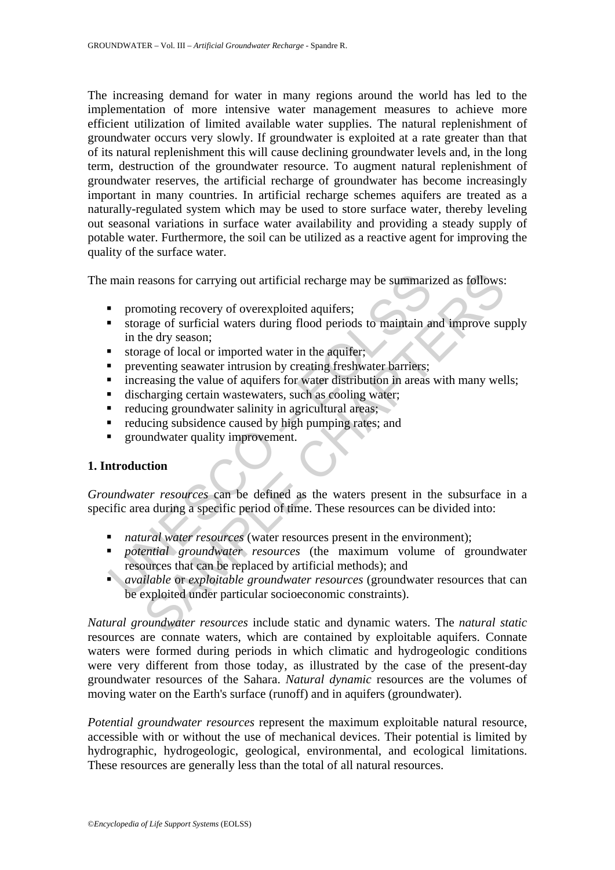The increasing demand for water in many regions around the world has led to the implementation of more intensive water management measures to achieve more efficient utilization of limited available water supplies. The natural replenishment of groundwater occurs very slowly. If groundwater is exploited at a rate greater than that of its natural replenishment this will cause declining groundwater levels and, in the long term, destruction of the groundwater resource. To augment natural replenishment of groundwater reserves, the artificial recharge of groundwater has become increasingly important in many countries. In artificial recharge schemes aquifers are treated as a naturally-regulated system which may be used to store surface water, thereby leveling out seasonal variations in surface water availability and providing a steady supply of potable water. Furthermore, the soil can be utilized as a reactive agent for improving the quality of the surface water.

The main reasons for carrying out artificial recharge may be summarized as follows:

- promoting recovery of overexploited aquifers;
- main reasons for carrying out artificial recharge may be summari<br>
 promoting recovery of overexploited aquifers;<br>
 storage of surficial waters during flood periods to maintain a<br>
in the dry season;<br>
 storage of local or storage of surficial waters during flood periods to maintain and improve supply in the dry season;
- storage of local or imported water in the aquifer;
- preventing seawater intrusion by creating freshwater barriers;
- increasing the value of aquifers for water distribution in areas with many wells;
- discharging certain wastewaters, such as cooling water;
- reducing groundwater salinity in agricultural areas;
- reducing subsidence caused by high pumping rates; and
- **Example 1** groundwater quality improvement.

### **1. Introduction**

*Groundwater resources* can be defined as the waters present in the subsurface in a specific area during a specific period of time. These resources can be divided into:

- *natural water resources* (water resources present in the environment);
- *potential groundwater resources* (the maximum volume of groundwater resources that can be replaced by artificial methods); and
- easons for carrying out artificial recharge may be summarized as follows:<br>moting recovery of overexploited aquifers;<br>age of surficial waters during flood periods to maintain and improve sue<br>he dry season;<br>wenting seawater *available* or *exploitable groundwater resources* (groundwater resources that can be exploited under particular socioeconomic constraints).

*Natural groundwater resources* include static and dynamic waters. The *natural static* resources are connate waters, which are contained by exploitable aquifers. Connate waters were formed during periods in which climatic and hydrogeologic conditions were very different from those today, as illustrated by the case of the present-day groundwater resources of the Sahara. *Natural dynamic* resources are the volumes of moving water on the Earth's surface (runoff) and in aquifers (groundwater).

*Potential groundwater resources* represent the maximum exploitable natural resource, accessible with or without the use of mechanical devices. Their potential is limited by hydrographic, hydrogeologic, geological, environmental, and ecological limitations. These resources are generally less than the total of all natural resources.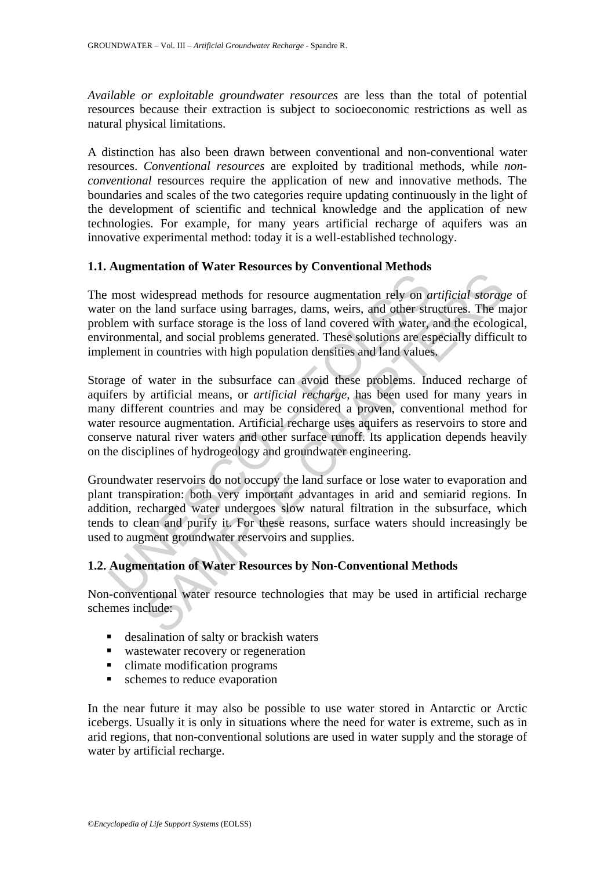*Available or exploitable groundwater resources* are less than the total of potential resources because their extraction is subject to socioeconomic restrictions as well as natural physical limitations.

A distinction has also been drawn between conventional and non-conventional water resources. *Conventional resources* are exploited by traditional methods, while *nonconventional* resources require the application of new and innovative methods. The boundaries and scales of the two categories require updating continuously in the light of the development of scientific and technical knowledge and the application of new technologies. For example, for many years artificial recharge of aquifers was an innovative experimental method: today it is a well-established technology.

# **1.1. Augmentation of Water Resources by Conventional Methods**

The most widespread methods for resource augmentation rely on *artificial storage* of water on the land surface using barrages, dams, weirs, and other structures. The major problem with surface storage is the loss of land covered with water, and the ecological, environmental, and social problems generated. These solutions are especially difficult to implement in countries with high population densities and land values.

most widespread methods for resource augmentation rely on a<br>metron the land surface using barrages, dams, weirs, and other structumental, and social problems seen test loss of land covered with water,<br>ironmental, and socia interest and surface using barriers and substrate the middle and surface using hear and surface using barrachion rely on *artificial storage* in this surface using barrachion relations are especially difficultion in countr Storage of water in the subsurface can avoid these problems. Induced recharge of aquifers by artificial means, or *artificial recharge*, has been used for many years in many different countries and may be considered a proven, conventional method for water resource augmentation. Artificial recharge uses aquifers as reservoirs to store and conserve natural river waters and other surface runoff. Its application depends heavily on the disciplines of hydrogeology and groundwater engineering.

Groundwater reservoirs do not occupy the land surface or lose water to evaporation and plant transpiration: both very important advantages in arid and semiarid regions. In addition, recharged water undergoes slow natural filtration in the subsurface, which tends to clean and purify it. For these reasons, surface waters should increasingly be used to augment groundwater reservoirs and supplies.

# **1.2. Augmentation of Water Resources by Non-Conventional Methods**

Non-conventional water resource technologies that may be used in artificial recharge schemes include:

- desalination of salty or brackish waters
- wastewater recovery or regeneration
- climate modification programs
- **schemes to reduce evaporation**

In the near future it may also be possible to use water stored in Antarctic or Arctic icebergs. Usually it is only in situations where the need for water is extreme, such as in arid regions, that non-conventional solutions are used in water supply and the storage of water by artificial recharge.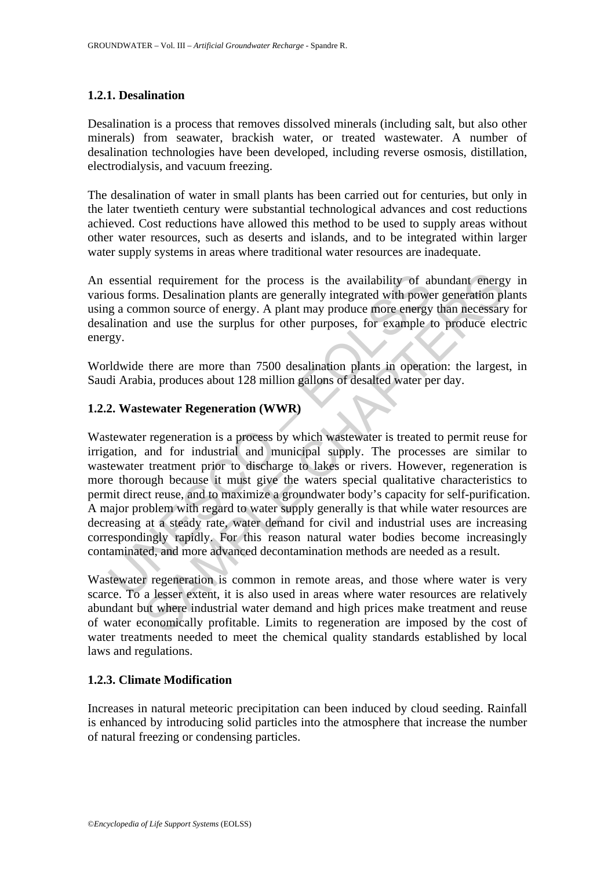# **1.2.1. Desalination**

Desalination is a process that removes dissolved minerals (including salt, but also other minerals) from seawater, brackish water, or treated wastewater. A number of desalination technologies have been developed, including reverse osmosis, distillation, electrodialysis, and vacuum freezing.

The desalination of water in small plants has been carried out for centuries, but only in the later twentieth century were substantial technological advances and cost reductions achieved. Cost reductions have allowed this method to be used to supply areas without other water resources, such as deserts and islands, and to be integrated within larger water supply systems in areas where traditional water resources are inadequate.

An essential requirement for the process is the availability of abundant energy in various forms. Desalination plants are generally integrated with power generation plants using a common source of energy. A plant may produce more energy than necessary for desalination and use the surplus for other purposes, for example to produce electric energy.

Worldwide there are more than 7500 desalination plants in operation: the largest, in Saudi Arabia, produces about 128 million gallons of desalted water per day.

### **1.2.2. Wastewater Regeneration (WWR)**

essential requirement for the process is the availability of al<br>ous forms. Desalination plants are generally integrated with powe<br>g a common source of energy. A plant may produce more energy<br>lination and use the surplus fo al requirement for the process is the availability of abundant energms. Desalination plants are generally integrated with power generation pl<br>mmon source of energy. A plant may produce more energy than necessary<br>n and use Wastewater regeneration is a process by which wastewater is treated to permit reuse for irrigation, and for industrial and municipal supply. The processes are similar to wastewater treatment prior to discharge to lakes or rivers. However, regeneration is more thorough because it must give the waters special qualitative characteristics to permit direct reuse, and to maximize a groundwater body's capacity for self-purification. A major problem with regard to water supply generally is that while water resources are decreasing at a steady rate, water demand for civil and industrial uses are increasing correspondingly rapidly. For this reason natural water bodies become increasingly contaminated, and more advanced decontamination methods are needed as a result.

Wastewater regeneration is common in remote areas, and those where water is very scarce. To a lesser extent, it is also used in areas where water resources are relatively abundant but where industrial water demand and high prices make treatment and reuse of water economically profitable. Limits to regeneration are imposed by the cost of water treatments needed to meet the chemical quality standards established by local laws and regulations.

### **1.2.3. Climate Modification**

Increases in natural meteoric precipitation can been induced by cloud seeding. Rainfall is enhanced by introducing solid particles into the atmosphere that increase the number of natural freezing or condensing particles.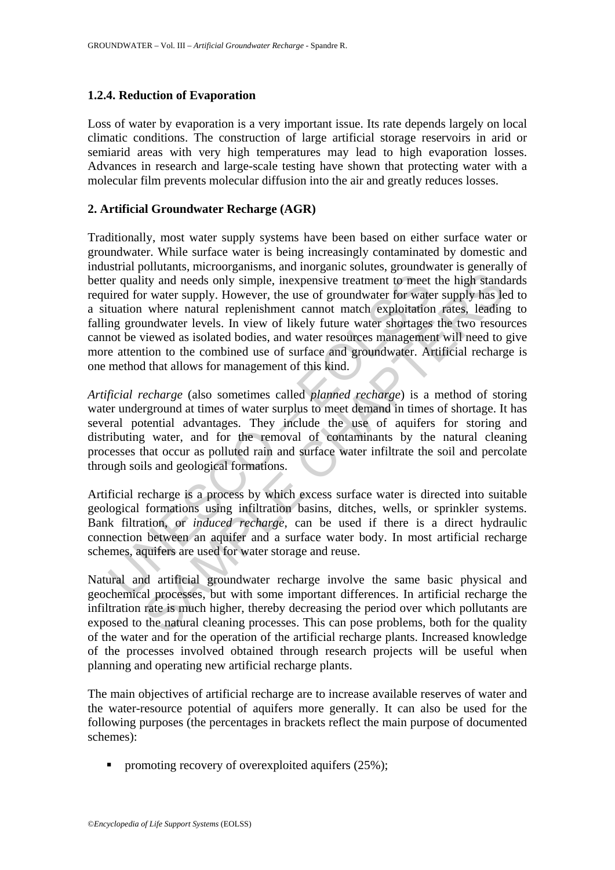# **1.2.4. Reduction of Evaporation**

Loss of water by evaporation is a very important issue. Its rate depends largely on local climatic conditions. The construction of large artificial storage reservoirs in arid or semiarid areas with very high temperatures may lead to high evaporation losses. Advances in research and large-scale testing have shown that protecting water with a molecular film prevents molecular diffusion into the air and greatly reduces losses.

# **2. Artificial Groundwater Recharge (AGR)**

er quality and needs only simple, inexpensive treatment to meet<br>tired for water supply. However, the use of groundwater for wate<br>tuation where natural replenishment cannot match exploitation<br>mg groundwater levels. In view ity and needs only simple, inexpensive treatment to meet the high stand<br>to twater supply. However, the use of groundwater for water supply has level a<br>twater actural replenishment cannot match exploitation rates, leading<br>u Traditionally, most water supply systems have been based on either surface water or groundwater. While surface water is being increasingly contaminated by domestic and industrial pollutants, microorganisms, and inorganic solutes, groundwater is generally of better quality and needs only simple, inexpensive treatment to meet the high standards required for water supply. However, the use of groundwater for water supply has led to a situation where natural replenishment cannot match exploitation rates, leading to falling groundwater levels. In view of likely future water shortages the two resources cannot be viewed as isolated bodies, and water resources management will need to give more attention to the combined use of surface and groundwater. Artificial recharge is one method that allows for management of this kind.

*Artificial recharge* (also sometimes called *planned recharge*) is a method of storing water underground at times of water surplus to meet demand in times of shortage. It has several potential advantages. They include the use of aquifers for storing and distributing water, and for the removal of contaminants by the natural cleaning processes that occur as polluted rain and surface water infiltrate the soil and percolate through soils and geological formations.

Artificial recharge is a process by which excess surface water is directed into suitable geological formations using infiltration basins, ditches, wells, or sprinkler systems. Bank filtration, or *induced recharge*, can be used if there is a direct hydraulic connection between an aquifer and a surface water body. In most artificial recharge schemes, aquifers are used for water storage and reuse.

Natural and artificial groundwater recharge involve the same basic physical and geochemical processes, but with some important differences. In artificial recharge the infiltration rate is much higher, thereby decreasing the period over which pollutants are exposed to the natural cleaning processes. This can pose problems, both for the quality of the water and for the operation of the artificial recharge plants. Increased knowledge of the processes involved obtained through research projects will be useful when planning and operating new artificial recharge plants.

The main objectives of artificial recharge are to increase available reserves of water and the water-resource potential of aquifers more generally. It can also be used for the following purposes (the percentages in brackets reflect the main purpose of documented schemes):

promoting recovery of overexploited aquifers  $(25\%)$ ;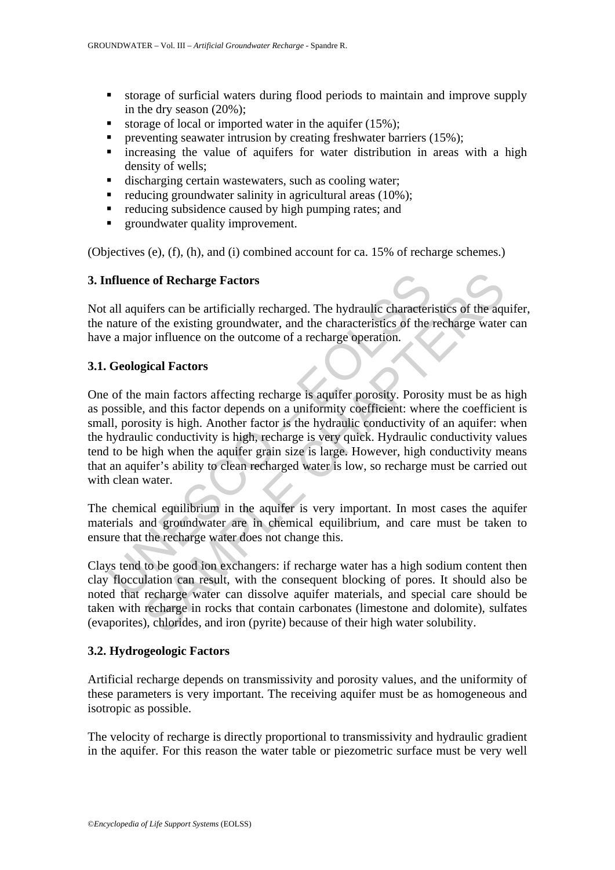- storage of surficial waters during flood periods to maintain and improve supply in the dry season (20%);
- storage of local or imported water in the aquifer  $(15\%)$ ;
- preventing seawater intrusion by creating freshwater barriers  $(15\%)$ ;
- **i** increasing the value of aquifers for water distribution in areas with a high density of wells;
- discharging certain wastewaters, such as cooling water;
- $\blacksquare$  reducing groundwater salinity in agricultural areas (10%);
- $\blacksquare$  reducing subsidence caused by high pumping rates; and
- **groundwater quality improvement.**

(Objectives (e), (f), (h), and (i) combined account for ca. 15% of recharge schemes.)

# **3. Influence of Recharge Factors**

Not all aquifers can be artificially recharged. The hydraulic characteristics of the aquifer, the nature of the existing groundwater, and the characteristics of the recharge water can have a major influence on the outcome of a recharge operation.

# **3.1. Geological Factors**

**all aquifers can be artificially recharged. The hydraulic characteriation**<br>
and aquifers can be artificially recharged. The hydraulic characterical<br>
and any of the existing groundwater, and the characteristics of the<br>
a m The of **Recharge Factors**<br>
Recharge Factors<br>
The hydraulic characteristics of the aqu<br>
of the existing groundwater, and the characteristics of the recharge water<br>
or influence on the outcome of a recharge operation.<br> **SEAM** One of the main factors affecting recharge is aquifer porosity. Porosity must be as high as possible, and this factor depends on a uniformity coefficient: where the coefficient is small, porosity is high. Another factor is the hydraulic conductivity of an aquifer: when the hydraulic conductivity is high, recharge is very quick. Hydraulic conductivity values tend to be high when the aquifer grain size is large. However, high conductivity means that an aquifer's ability to clean recharged water is low, so recharge must be carried out with clean water.

The chemical equilibrium in the aquifer is very important. In most cases the aquifer materials and groundwater are in chemical equilibrium, and care must be taken to ensure that the recharge water does not change this.

Clays tend to be good ion exchangers: if recharge water has a high sodium content then clay flocculation can result, with the consequent blocking of pores. It should also be noted that recharge water can dissolve aquifer materials, and special care should be taken with recharge in rocks that contain carbonates (limestone and dolomite), sulfates (evaporites), chlorides, and iron (pyrite) because of their high water solubility.

### **3.2. Hydrogeologic Factors**

Artificial recharge depends on transmissivity and porosity values, and the uniformity of these parameters is very important. The receiving aquifer must be as homogeneous and isotropic as possible.

The velocity of recharge is directly proportional to transmissivity and hydraulic gradient in the aquifer. For this reason the water table or piezometric surface must be very well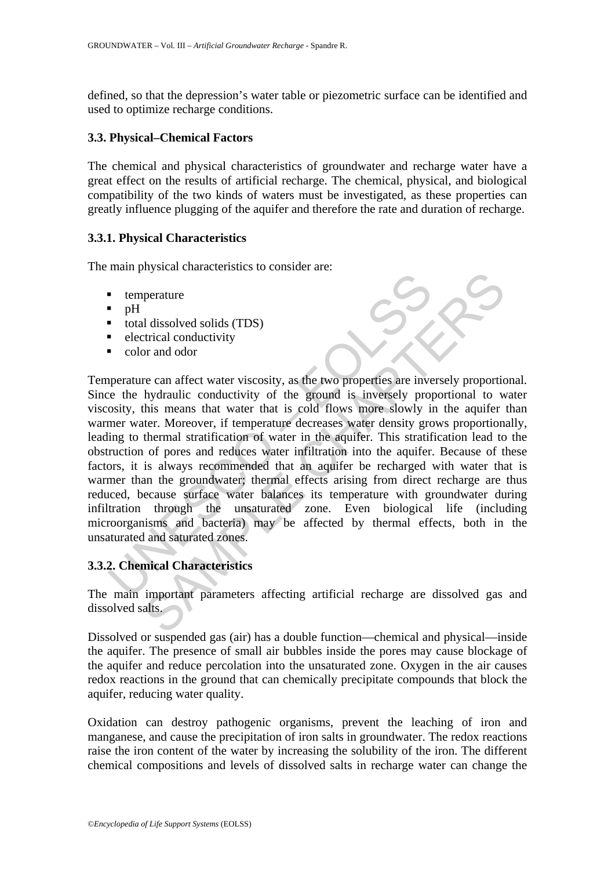defined, so that the depression's water table or piezometric surface can be identified and used to optimize recharge conditions.

### **3.3. Physical–Chemical Factors**

The chemical and physical characteristics of groundwater and recharge water have a great effect on the results of artificial recharge. The chemical, physical, and biological compatibility of the two kinds of waters must be investigated, as these properties can greatly influence plugging of the aquifer and therefore the rate and duration of recharge.

# **3.3.1. Physical Characteristics**

The main physical characteristics to consider are:

- temperature
- $pH$
- $\bullet$  total dissolved solids (TDS)
- $\blacksquare$  electrical conductivity
- color and odor

Transference of the magnetic solids (TDS)<br>
Lead dissolved solids (TDS)<br>
Lead dissolved solids (TDS)<br>
Lead conductivity<br>
color and odor<br>
Lead conductivity of the ground is inversely proposity, this means that water that is Samman and a strategy and the strategy and the strategy and the strategy of the strategy or and odor<br>
Final conductivity or and odor<br>
Final conductivity of the ground is inversely proportional to whis<br>
means that water tha Temperature can affect water viscosity, as the two properties are inversely proportional. Since the hydraulic conductivity of the ground is inversely proportional to water viscosity, this means that water that is cold flows more slowly in the aquifer than warmer water. Moreover, if temperature decreases water density grows proportionally, leading to thermal stratification of water in the aquifer. This stratification lead to the obstruction of pores and reduces water infiltration into the aquifer. Because of these factors, it is always recommended that an aquifer be recharged with water that is warmer than the groundwater; thermal effects arising from direct recharge are thus reduced, because surface water balances its temperature with groundwater during infiltration through the unsaturated zone. Even biological life (including microorganisms and bacteria) may be affected by thermal effects, both in the unsaturated and saturated zones.

# **3.3.2. Chemical Characteristics**

The main important parameters affecting artificial recharge are dissolved gas and dissolved salts.

Dissolved or suspended gas (air) has a double function—chemical and physical—inside the aquifer. The presence of small air bubbles inside the pores may cause blockage of the aquifer and reduce percolation into the unsaturated zone. Oxygen in the air causes redox reactions in the ground that can chemically precipitate compounds that block the aquifer, reducing water quality.

Oxidation can destroy pathogenic organisms, prevent the leaching of iron and manganese, and cause the precipitation of iron salts in groundwater. The redox reactions raise the iron content of the water by increasing the solubility of the iron. The different chemical compositions and levels of dissolved salts in recharge water can change the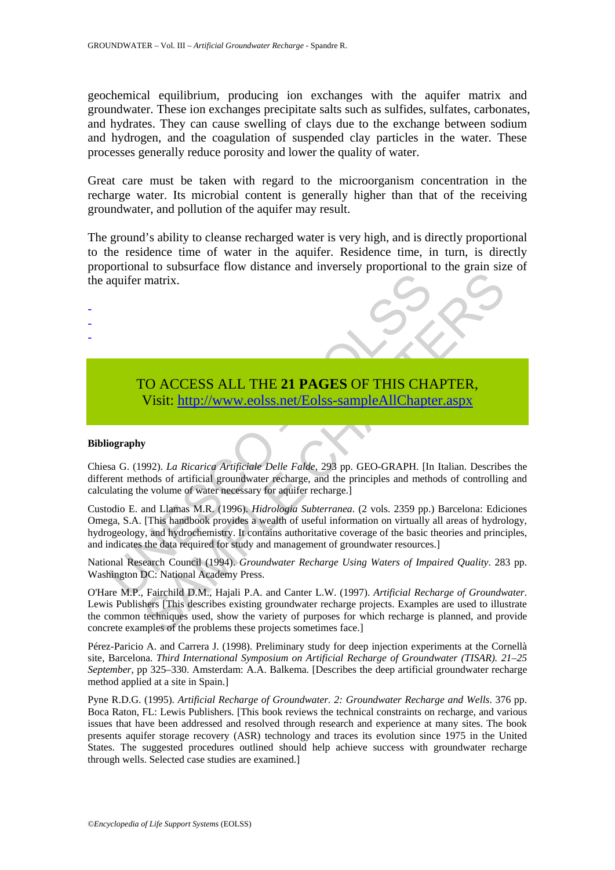geochemical equilibrium, producing ion exchanges with the aquifer matrix and groundwater. These ion exchanges precipitate salts such as sulfides, sulfates, carbonates, and hydrates. They can cause swelling of clays due to the exchange between sodium and hydrogen, and the coagulation of suspended clay particles in the water. These processes generally reduce porosity and lower the quality of water.

Great care must be taken with regard to the microorganism concentration in the recharge water. Its microbial content is generally higher than that of the receiving groundwater, and pollution of the aquifer may result.

The ground's ability to cleanse recharged water is very high, and is directly proportional to the residence time of water in the aquifer. Residence time, in turn, is directly proportional to subsurface flow distance and inversely proportional to the grain size of the aquifer matrix.

# TO ACCESS ALL THE **21 PAGES** OF THIS CHAPTER, Visit: http://www.eolss.net/Eolss-sampleAllChapter.aspx

#### **Bibliography**

- - -

Chiesa G. (1992). *La Ricarica Artificiale Delle Falde*, 293 pp. GEO-GRAPH. [In Italian. Describes the different methods of artificial groundwater recharge, and the principles and methods of controlling and calculating the volume of water necessary for aquifer recharge.]

aquifer matrix.<br>
TO ACCESS ALL THE 21 PAGES OF THIS CHA<br>
Visit: http://www.eolss.net/Eolss-sampleAllChapte<br>
ography<br>
sa G. (1992). *La Ricarica Artificiale Delle Falde*, 293 pp. GEO-GRAPH. [In<br>
rent methods of artificial g THE STATE OF A CONSIDENT CONDUCT CONDUCTS (The Properties of the problems of the problems of the product control of the product control of the product of the product control of the product control and the principal of the Custodio E. and Llamas M.R. (1996). *Hidrologia Subterranea*. (2 vols. 2359 pp.) Barcelona: Ediciones Omega, S.A. [This handbook provides a wealth of useful information on virtually all areas of hydrology, hydrogeology, and hydrochemistry. It contains authoritative coverage of the basic theories and principles, and indicates the data required for study and management of groundwater resources.]

National Research Council (1994). *Groundwater Recharge Using Waters of Impaired Quality*. 283 pp. Washington DC: National Academy Press.

O'Hare M.P., Fairchild D.M., Hajali P.A. and Canter L.W. (1997). *Artificial Recharge of Groundwater*. Lewis Publishers [This describes existing groundwater recharge projects. Examples are used to illustrate the common techniques used, show the variety of purposes for which recharge is planned, and provide concrete examples of the problems these projects sometimes face.]

Pérez-Paricio A. and Carrera J. (1998). Preliminary study for deep injection experiments at the Cornellà site, Barcelona. *Third International Symposium on Artificial Recharge of Groundwater (TISAR). 21–25 September*, pp 325–330. Amsterdam: A.A. Balkema. [Describes the deep artificial groundwater recharge method applied at a site in Spain.]

Pyne R.D.G. (1995). *Artificial Recharge of Groundwater. 2: Groundwater Recharge and Wells*. 376 pp. Boca Raton, FL: Lewis Publishers. [This book reviews the technical constraints on recharge, and various issues that have been addressed and resolved through research and experience at many sites. The book presents aquifer storage recovery (ASR) technology and traces its evolution since 1975 in the United States. The suggested procedures outlined should help achieve success with groundwater recharge through wells. Selected case studies are examined.]